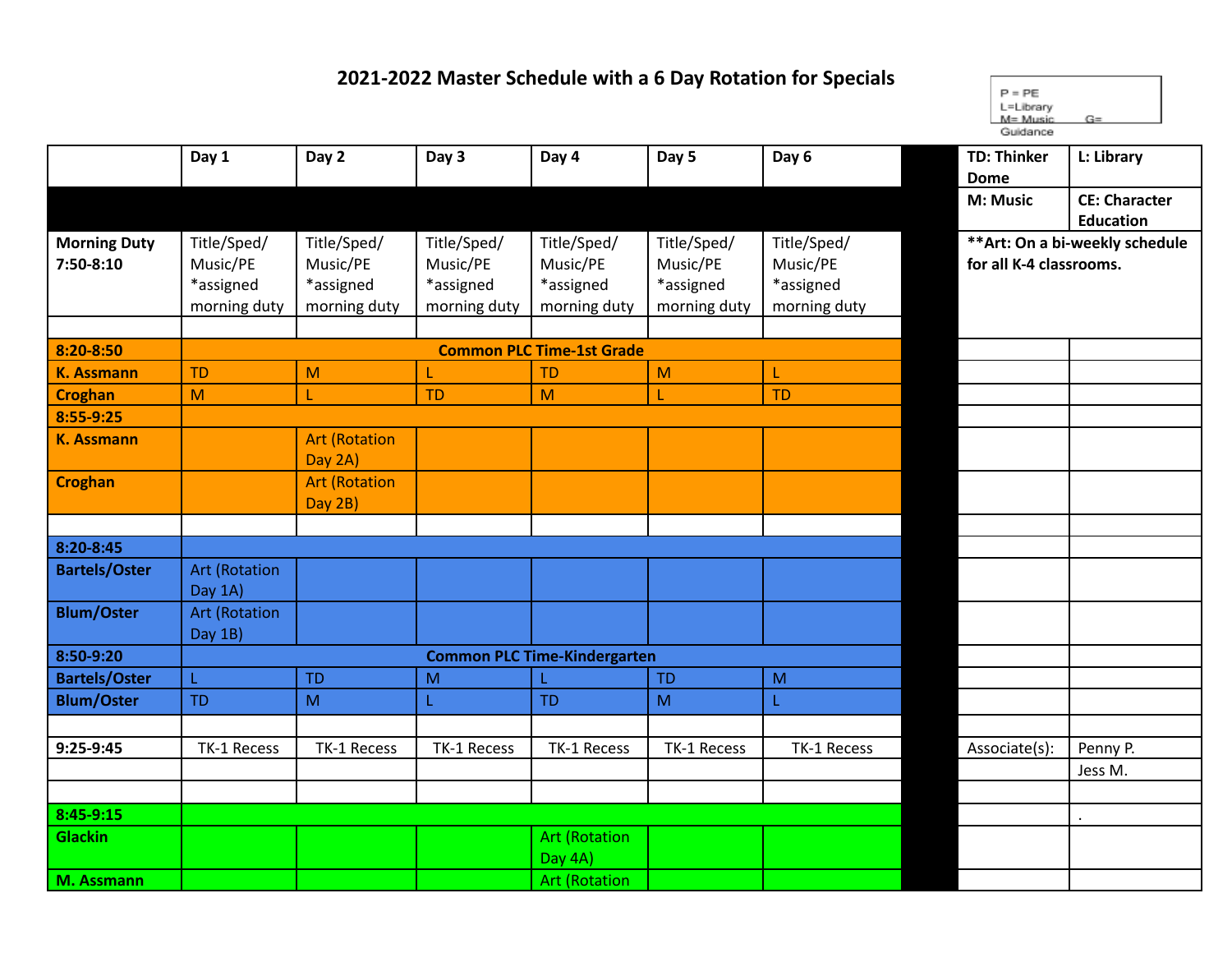## **2021-2022 Master Schedule with a 6 Day Rotation for Specials**

 $P = PE$ L=Library  $M = Music$  $G=$ Guidance

|                      | Day 1                           | Day 2                | Day 3        | Day 4                               | Day 5        | Day 6        | <b>TD: Thinker</b>              | L: Library           |  |
|----------------------|---------------------------------|----------------------|--------------|-------------------------------------|--------------|--------------|---------------------------------|----------------------|--|
|                      |                                 |                      |              |                                     |              |              | <b>Dome</b>                     |                      |  |
|                      |                                 |                      |              |                                     |              |              | M: Music                        | <b>CE: Character</b> |  |
|                      |                                 |                      |              |                                     |              |              |                                 | <b>Education</b>     |  |
| <b>Morning Duty</b>  | Title/Sped/                     | Title/Sped/          | Title/Sped/  | Title/Sped/                         | Title/Sped/  | Title/Sped/  | ** Art: On a bi-weekly schedule |                      |  |
| 7:50-8:10            | Music/PE                        | Music/PE             | Music/PE     | Music/PE                            | Music/PE     | Music/PE     | for all K-4 classrooms.         |                      |  |
|                      | *assigned                       | *assigned            | *assigned    | *assigned                           | *assigned    | *assigned    |                                 |                      |  |
|                      | morning duty                    | morning duty         | morning duty | morning duty                        | morning duty | morning duty |                                 |                      |  |
|                      |                                 |                      |              |                                     |              |              |                                 |                      |  |
| 8:20-8:50            |                                 |                      |              | <b>Common PLC Time-1st Grade</b>    |              |              |                                 |                      |  |
| <b>K. Assmann</b>    | <b>TD</b>                       | M                    | L            | <b>TD</b>                           | M            | L            |                                 |                      |  |
| <b>Croghan</b>       | M                               |                      | <b>TD</b>    | M                                   | T            | <b>TD</b>    |                                 |                      |  |
| 8:55-9:25            |                                 |                      |              |                                     |              |              |                                 |                      |  |
| <b>K. Assmann</b>    |                                 | <b>Art (Rotation</b> |              |                                     |              |              |                                 |                      |  |
|                      |                                 | Day 2A)              |              |                                     |              |              |                                 |                      |  |
| <b>Croghan</b>       |                                 | <b>Art (Rotation</b> |              |                                     |              |              |                                 |                      |  |
|                      |                                 | Day 2B)              |              |                                     |              |              |                                 |                      |  |
|                      |                                 |                      |              |                                     |              |              |                                 |                      |  |
| 8:20-8:45            |                                 |                      |              |                                     |              |              |                                 |                      |  |
| <b>Bartels/Oster</b> | <b>Art (Rotation</b><br>Day 1A) |                      |              |                                     |              |              |                                 |                      |  |
| <b>Blum/Oster</b>    | <b>Art (Rotation</b>            |                      |              |                                     |              |              |                                 |                      |  |
|                      | Day 1B)                         |                      |              |                                     |              |              |                                 |                      |  |
| 8:50-9:20            |                                 |                      |              | <b>Common PLC Time-Kindergarten</b> |              |              |                                 |                      |  |
| <b>Bartels/Oster</b> | L                               | <b>TD</b>            | M            |                                     | <b>TD</b>    | M            |                                 |                      |  |
| <b>Blum/Oster</b>    | <b>TD</b>                       | M                    | L            | <b>TD</b>                           | M            | L            |                                 |                      |  |
|                      |                                 |                      |              |                                     |              |              |                                 |                      |  |
| 9:25-9:45            | TK-1 Recess                     | TK-1 Recess          | TK-1 Recess  | TK-1 Recess                         | TK-1 Recess  | TK-1 Recess  | Associate(s):                   | Penny P.             |  |
|                      |                                 |                      |              |                                     |              |              |                                 | Jess M.              |  |
|                      |                                 |                      |              |                                     |              |              |                                 |                      |  |
| 8:45-9:15            |                                 |                      |              |                                     |              |              |                                 |                      |  |
| <b>Glackin</b>       |                                 |                      |              | <b>Art (Rotation</b>                |              |              |                                 |                      |  |
|                      |                                 |                      |              | Day 4A)                             |              |              |                                 |                      |  |
| M. Assmann           |                                 |                      |              | <b>Art (Rotation</b>                |              |              |                                 |                      |  |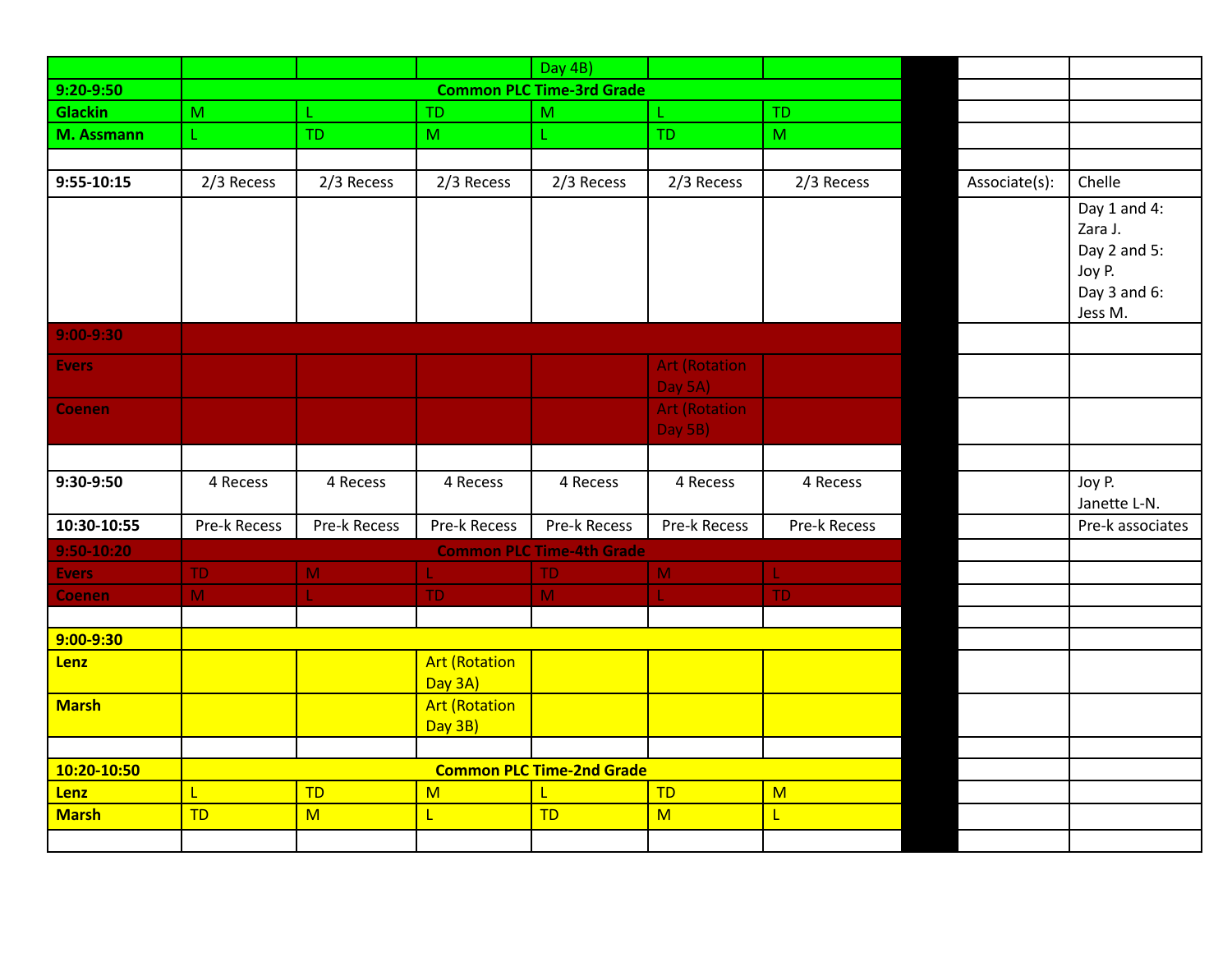|                |              |              |                                 | Day 4B)                          |                                 |              |               |                                                   |
|----------------|--------------|--------------|---------------------------------|----------------------------------|---------------------------------|--------------|---------------|---------------------------------------------------|
| $9:20 - 9:50$  |              |              |                                 | <b>Common PLC Time-3rd Grade</b> |                                 |              |               |                                                   |
| <b>Glackin</b> | M            | L.           | <b>TD</b>                       | M                                | L                               | <b>TD</b>    |               |                                                   |
| M. Assmann     | Ĺ.           | <b>TD</b>    | M                               | L.                               | <b>TD</b>                       | M            |               |                                                   |
|                |              |              |                                 |                                  |                                 |              |               |                                                   |
| $9:55-10:15$   | 2/3 Recess   | 2/3 Recess   | 2/3 Recess                      | 2/3 Recess                       | 2/3 Recess                      | 2/3 Recess   | Associate(s): | Chelle                                            |
|                |              |              |                                 |                                  |                                 |              |               | Day 1 and 4:<br>Zara J.<br>Day 2 and 5:<br>Joy P. |
|                |              |              |                                 |                                  |                                 |              |               | Day 3 and 6:<br>Jess M.                           |
| $9:00 - 9:30$  |              |              |                                 |                                  |                                 |              |               |                                                   |
| <b>Evers</b>   |              |              |                                 |                                  | <b>Art (Rotation</b><br>Day 5A) |              |               |                                                   |
| <b>Coenen</b>  |              |              |                                 |                                  | <b>Art (Rotation</b><br>Day 5B) |              |               |                                                   |
|                |              |              |                                 |                                  |                                 |              |               |                                                   |
| 9:30-9:50      | 4 Recess     | 4 Recess     | 4 Recess                        | 4 Recess                         | 4 Recess                        | 4 Recess     |               | Joy P.<br>Janette L-N.                            |
| 10:30-10:55    | Pre-k Recess | Pre-k Recess | Pre-k Recess                    | Pre-k Recess                     | Pre-k Recess                    | Pre-k Recess |               | Pre-k associates                                  |
| $9:50-10:20$   |              |              |                                 | <b>Common PLC Time-4th Grade</b> |                                 |              |               |                                                   |
| <b>Evers</b>   | TD.          | M            | L.                              | TD.                              | M                               | L.           |               |                                                   |
| <b>Coenen</b>  | M            | T.           | TD.                             | M                                | L.                              | TD.          |               |                                                   |
|                |              |              |                                 |                                  |                                 |              |               |                                                   |
| 9:00-9:30      |              |              |                                 |                                  |                                 |              |               |                                                   |
| Lenz           |              |              | <b>Art (Rotation</b><br>Day 3A) |                                  |                                 |              |               |                                                   |
| <b>Marsh</b>   |              |              | <b>Art (Rotation</b><br>Day 3B) |                                  |                                 |              |               |                                                   |
|                |              |              |                                 |                                  |                                 |              |               |                                                   |
| 10:20-10:50    |              |              |                                 | <b>Common PLC Time-2nd Grade</b> |                                 |              |               |                                                   |
| Lenz           | L            | <b>TD</b>    | M                               | L                                | TD                              | M            |               |                                                   |
| <b>Marsh</b>   | <b>TD</b>    | M            | $\mathsf{L}$                    | TD                               | M                               | L            |               |                                                   |
|                |              |              |                                 |                                  |                                 |              |               |                                                   |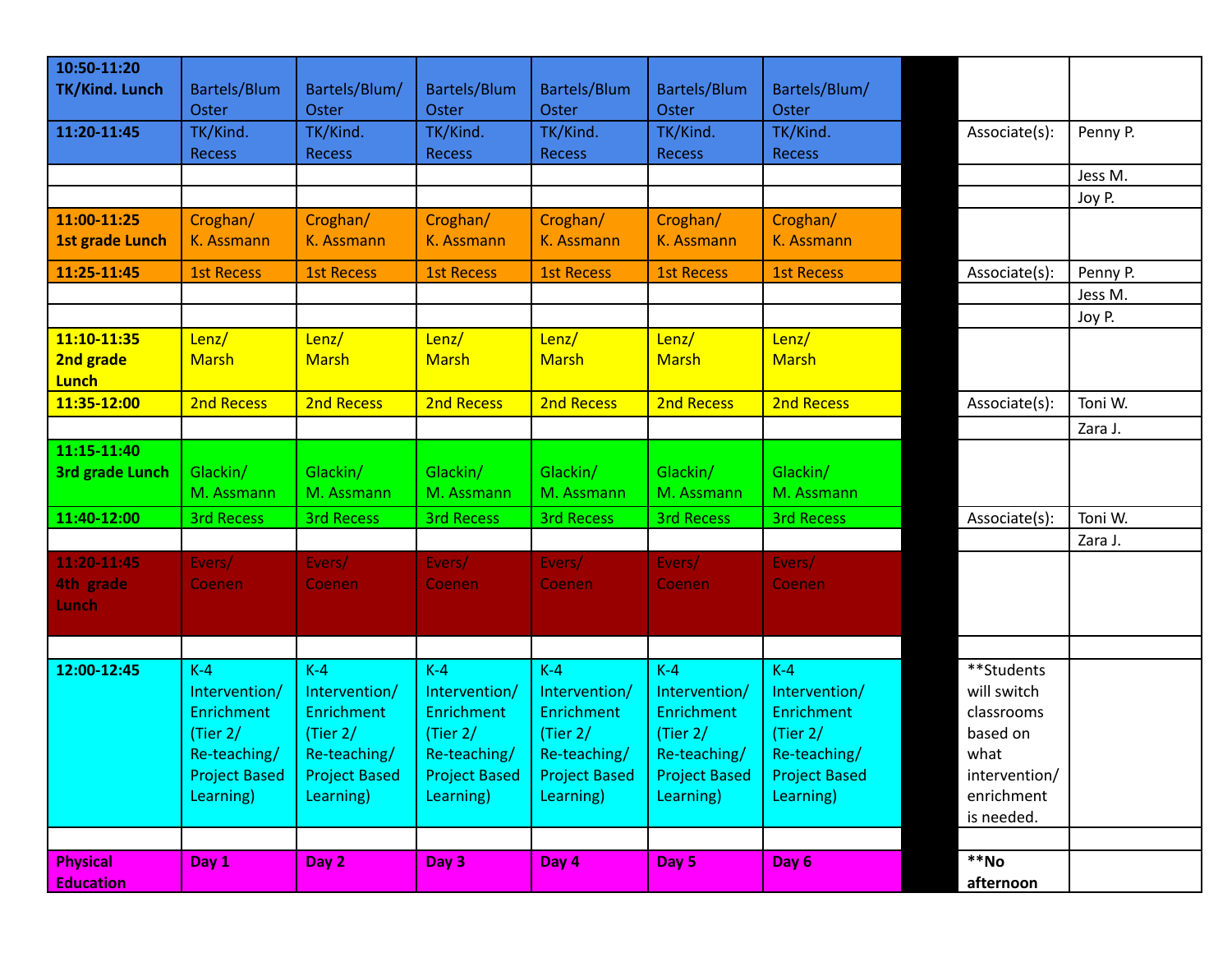| 10:50-11:20            |                      |                      |                            |                      |                      |                      |                     |          |
|------------------------|----------------------|----------------------|----------------------------|----------------------|----------------------|----------------------|---------------------|----------|
| TK/Kind. Lunch         | Bartels/Blum         | Bartels/Blum/        | <b>Bartels/Blum</b>        | <b>Bartels/Blum</b>  | <b>Bartels/Blum</b>  | Bartels/Blum/        |                     |          |
|                        |                      |                      |                            |                      |                      |                      |                     |          |
|                        | Oster                | <b>Oster</b>         | <b>Oster</b>               | Oster                | Oster                | Oster                |                     |          |
| 11:20-11:45            | TK/Kind.             | TK/Kind.             | TK/Kind.                   | TK/Kind.             | TK/Kind.             | TK/Kind.             | Associate(s):       | Penny P. |
|                        | <b>Recess</b>        | <b>Recess</b>        | <b>Recess</b>              | <b>Recess</b>        | <b>Recess</b>        | <b>Recess</b>        |                     |          |
|                        |                      |                      |                            |                      |                      |                      |                     | Jess M.  |
|                        |                      |                      |                            |                      |                      |                      |                     | Joy P.   |
| 11:00-11:25            | Croghan/             | Croghan/             | Croghan/                   | Croghan/             | Croghan/             | Croghan/             |                     |          |
| <b>1st grade Lunch</b> | K. Assmann           | K. Assmann           | K. Assmann                 | K. Assmann           | K. Assmann           | K. Assmann           |                     |          |
|                        |                      |                      |                            |                      |                      |                      |                     |          |
| 11:25-11:45            | <b>1st Recess</b>    | <b>1st Recess</b>    | <b>1st Recess</b>          | <b>1st Recess</b>    | <b>1st Recess</b>    | <b>1st Recess</b>    | Associate(s):       | Penny P. |
|                        |                      |                      |                            |                      |                      |                      |                     | Jess M.  |
|                        |                      |                      |                            |                      |                      |                      |                     | Joy P.   |
| 11:10-11:35            | Lenz/                | Lenz/                | Lenz/                      | Lenz/                | Lenz/                | Lenz/                |                     |          |
| 2nd grade              | <b>Marsh</b>         | <b>Marsh</b>         | <b>Marsh</b>               | <b>Marsh</b>         | <b>Marsh</b>         | <b>Marsh</b>         |                     |          |
| <b>Lunch</b>           |                      |                      |                            |                      |                      |                      |                     |          |
| 11:35-12:00            | 2nd Recess           | 2nd Recess           | 2nd Recess                 | 2nd Recess           | 2nd Recess           | 2nd Recess           | Associate(s):       | Toni W.  |
|                        |                      |                      |                            |                      |                      |                      |                     | Zara J.  |
| 11:15-11:40            |                      |                      |                            |                      |                      |                      |                     |          |
|                        | Glackin/             | Glackin/             | Glackin/                   | Glackin/             | Glackin/             | Glackin/             |                     |          |
| <b>3rd grade Lunch</b> |                      |                      |                            |                      |                      |                      |                     |          |
|                        | M. Assmann           | M. Assmann           | M. Assmann                 | M. Assmann           | M. Assmann           | M. Assmann           |                     |          |
| 11:40-12:00            | <b>3rd Recess</b>    | <b>3rd Recess</b>    | <b>3rd Recess</b>          | <b>3rd Recess</b>    | <b>3rd Recess</b>    | <b>3rd Recess</b>    | Associate(s):       | Toni W.  |
|                        |                      |                      |                            |                      |                      |                      |                     | Zara J.  |
| 11:20-11:45            | Evers/               | Evers/               | Evers/                     | Evers/               | Evers/               | Evers/               |                     |          |
| 4th grade              | Coenen               | <b>Coenen</b>        | <b>Coenen</b>              | Coenen               | <b>Coenen</b>        | Coenen               |                     |          |
| Lunch                  |                      |                      |                            |                      |                      |                      |                     |          |
|                        |                      |                      |                            |                      |                      |                      |                     |          |
|                        |                      |                      |                            |                      |                      |                      |                     |          |
| 12:00-12:45            | $K-4$                | $K-4$                | $K-4$                      | $K-4$                | $K-4$                | $K-4$                | **Students          |          |
|                        | Intervention/        | Intervention/        | Intervention/              | Intervention/        | Intervention/        | Intervention/        | will switch         |          |
|                        | <b>Enrichment</b>    | <b>Enrichment</b>    | Enrichment                 | Enrichment           | Enrichment           | Enrichment           | classrooms          |          |
|                        | (Tier $2/$           |                      |                            |                      | (Tier $2/$           |                      | based on            |          |
|                        | Re-teaching/         | (Tier $2/$           | (Tier $2/$<br>Re-teaching/ | (Tier $2/$           |                      | (Tier $2/$           |                     |          |
|                        |                      | Re-teaching/         |                            | Re-teaching/         | Re-teaching/         | Re-teaching/         | what                |          |
|                        | <b>Project Based</b> | <b>Project Based</b> | <b>Project Based</b>       | <b>Project Based</b> | <b>Project Based</b> | <b>Project Based</b> | intervention/       |          |
|                        | Learning)            | Learning)            | Learning)                  | Learning)            | Learning)            | Learning)            | enrichment          |          |
|                        |                      |                      |                            |                      |                      |                      | is needed.          |          |
|                        |                      |                      |                            |                      |                      |                      |                     |          |
| <b>Physical</b>        | Day 1                | Day 2                | Day 3                      | Day 4                | Day 5                | Day 6                | $*$ <sup>*</sup> Mo |          |
| <b>Education</b>       |                      |                      |                            |                      |                      |                      | afternoon           |          |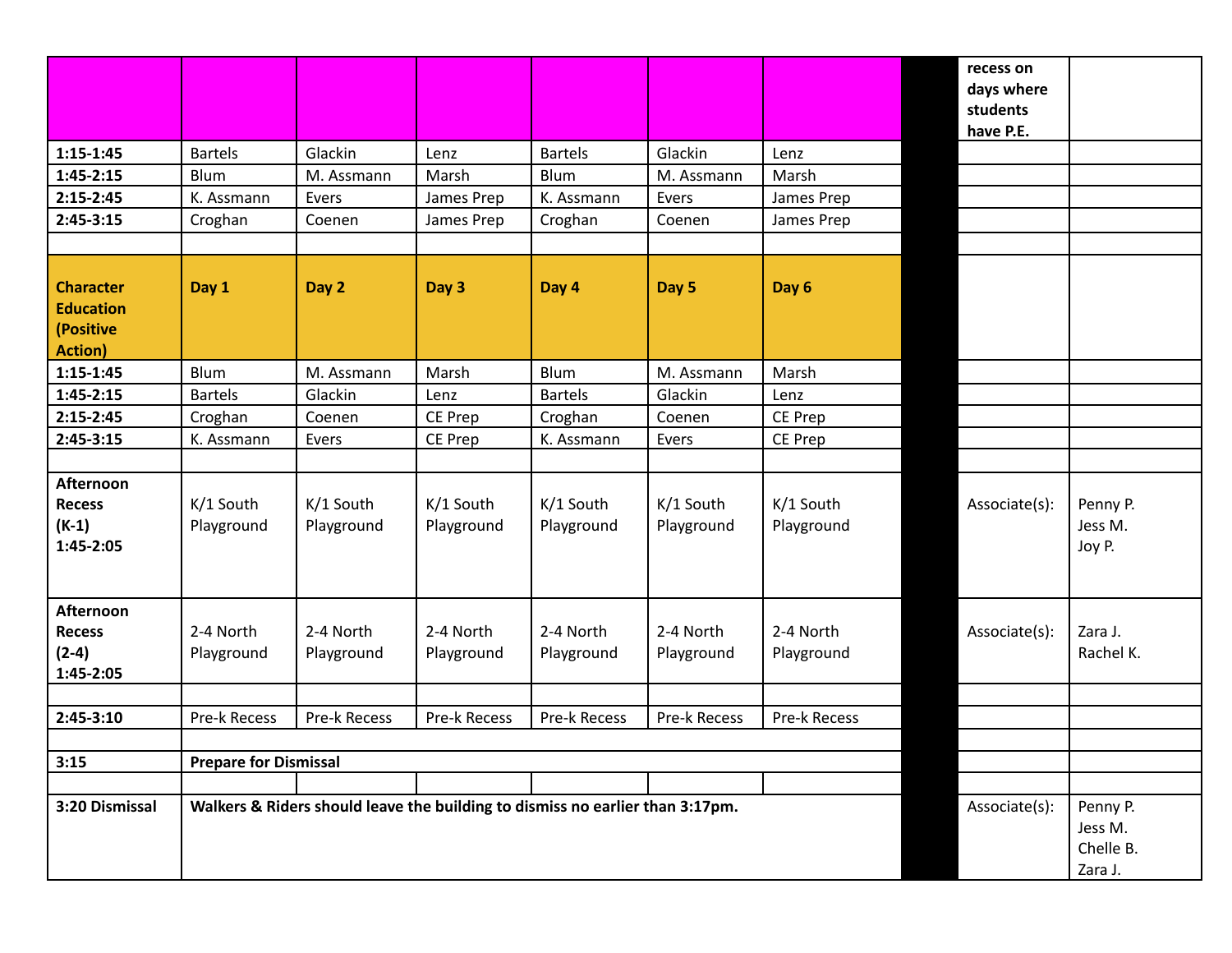|                                                                      |                              |                                                                               |                         |                         |                         |                         | recess on<br>days where<br>students |                                             |
|----------------------------------------------------------------------|------------------------------|-------------------------------------------------------------------------------|-------------------------|-------------------------|-------------------------|-------------------------|-------------------------------------|---------------------------------------------|
|                                                                      |                              |                                                                               |                         |                         |                         |                         | have P.E.                           |                                             |
| $1:15-1:45$                                                          | <b>Bartels</b>               | Glackin                                                                       | Lenz                    | <b>Bartels</b>          | Glackin                 | Lenz                    |                                     |                                             |
| $1:45-2:15$                                                          | Blum                         | M. Assmann                                                                    | Marsh                   | <b>Blum</b>             | M. Assmann              | Marsh                   |                                     |                                             |
| $2:15-2:45$                                                          | K. Assmann                   | Evers                                                                         | James Prep              | K. Assmann              | Evers                   | James Prep              |                                     |                                             |
| $2:45-3:15$                                                          | Croghan                      | Coenen                                                                        | James Prep              | Croghan                 | Coenen                  | James Prep              |                                     |                                             |
|                                                                      |                              |                                                                               |                         |                         |                         |                         |                                     |                                             |
| <b>Character</b><br><b>Education</b><br>(Positive<br><b>Action</b> ) | Day 1                        | Day 2                                                                         | Day 3                   | Day 4                   | Day 5                   | Day 6                   |                                     |                                             |
| $1:15-1:45$                                                          | Blum                         | M. Assmann                                                                    | Marsh                   | Blum                    | M. Assmann              | Marsh                   |                                     |                                             |
| $1:45-2:15$                                                          | <b>Bartels</b>               | Glackin                                                                       | Lenz                    | <b>Bartels</b>          | Glackin                 | Lenz                    |                                     |                                             |
| $2:15-2:45$                                                          | Croghan                      | Coenen                                                                        | CE Prep                 | Croghan                 | Coenen                  | CE Prep                 |                                     |                                             |
| $2:45-3:15$                                                          | K. Assmann                   | Evers                                                                         | CE Prep                 | K. Assmann              | Evers                   | CE Prep                 |                                     |                                             |
| Afternoon<br><b>Recess</b><br>$(K-1)$<br>1:45-2:05                   | K/1 South<br>Playground      | K/1 South<br>Playground                                                       | K/1 South<br>Playground | K/1 South<br>Playground | K/1 South<br>Playground | K/1 South<br>Playground | Associate(s):                       | Penny P.<br>Jess M.<br>Joy P.               |
| Afternoon<br><b>Recess</b><br>$(2-4)$<br>1:45-2:05                   | 2-4 North<br>Playground      | 2-4 North<br>Playground                                                       | 2-4 North<br>Playground | 2-4 North<br>Playground | 2-4 North<br>Playground | 2-4 North<br>Playground | Associate(s):                       | Zara J.<br>Rachel K.                        |
| $2:45-3:10$                                                          | Pre-k Recess                 | Pre-k Recess                                                                  | Pre-k Recess            | Pre-k Recess            | Pre-k Recess            | Pre-k Recess            |                                     |                                             |
|                                                                      |                              |                                                                               |                         |                         |                         |                         |                                     |                                             |
| 3:15                                                                 | <b>Prepare for Dismissal</b> |                                                                               |                         |                         |                         |                         |                                     |                                             |
| 3:20 Dismissal                                                       |                              | Walkers & Riders should leave the building to dismiss no earlier than 3:17pm. |                         |                         |                         |                         | Associate(s):                       | Penny P.<br>Jess M.<br>Chelle B.<br>Zara J. |